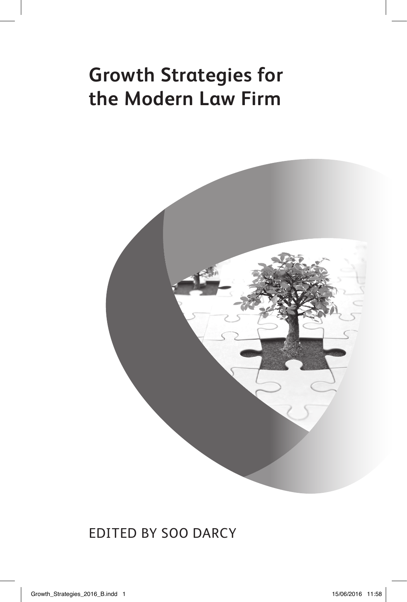## **Growth Strategies for the Modern Law Firm**



### Edited by Soo Darcy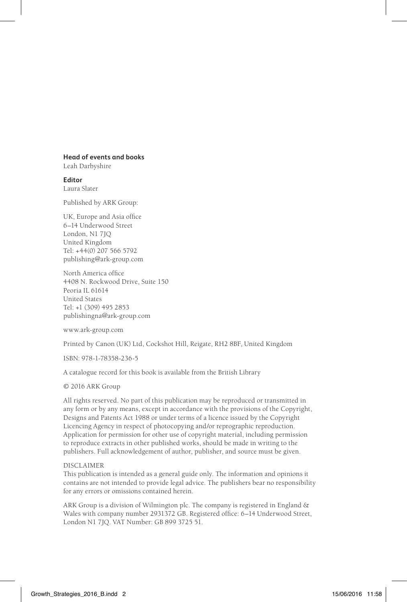### **Head of events and books**

Leah Darbyshire

**Editor** Laura Slater

Published by ARK Group:

UK, Europe and Asia office 6–14 Underwood Street London, N1 7JQ United Kingdom Tel: +44(0) 207 566 5792 publishing@ark-group.com

North America office 4408 N. Rockwood Drive, Suite 150 Peoria IL 61614 United States Tel: +1 (309) 495 2853 publishingna@ark-group.com

www.ark-group.com

Printed by Canon (UK) Ltd, Cockshot Hill, Reigate, RH2 8BF, United Kingdom

ISBN: 978-1-78358-236-5

A catalogue record for this book is available from the British Library

© 2016 ARK Group

All rights reserved. No part of this publication may be reproduced or transmitted in any form or by any means, except in accordance with the provisions of the Copyright, Designs and Patents Act 1988 or under terms of a licence issued by the Copyright Licencing Agency in respect of photocopying and/or reprographic reproduction. Application for permission for other use of copyright material, including permission to reproduce extracts in other published works, should be made in writing to the publishers. Full acknowledgement of author, publisher, and source must be given.

#### DISCLAIMER

This publication is intended as a general guide only. The information and opinions it contains are not intended to provide legal advice. The publishers bear no responsibility for any errors or omissions contained herein.

ARK Group is a division of Wilmington plc. The company is registered in England & Wales with company number 2931372 GB. Registered office: 6–14 Underwood Street, London N1 7JQ. VAT Number: GB 899 3725 51.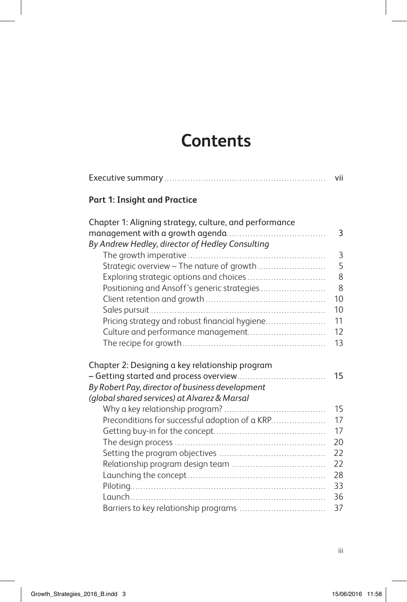## **Contents**

|                                                                                                                                                                                                                                                                                                                                         | vii                                                      |
|-----------------------------------------------------------------------------------------------------------------------------------------------------------------------------------------------------------------------------------------------------------------------------------------------------------------------------------------|----------------------------------------------------------|
| <b>Part 1: Insight and Practice</b>                                                                                                                                                                                                                                                                                                     |                                                          |
| Chapter 1: Aligning strategy, culture, and performance<br>By Andrew Hedley, director of Hedley Consulting<br>Strategic overview - The nature of growth<br>Exploring strategic options and choices<br>Positioning and Ansoff's generic strategies<br>Pricing strategy and robust financial hygiene<br>Culture and performance management | 3<br>3<br>5<br>8<br>8<br>10<br>10<br>11<br>12<br>13      |
| Chapter 2: Designing a key relationship program<br>By Robert Pay, director of business development                                                                                                                                                                                                                                      | 15                                                       |
| (global shared services) at Alvarez & Marsal<br>Preconditions for successful adoption of a KRP                                                                                                                                                                                                                                          | 15<br>17<br>17<br>20<br>22<br>22<br>28<br>33<br>36<br>37 |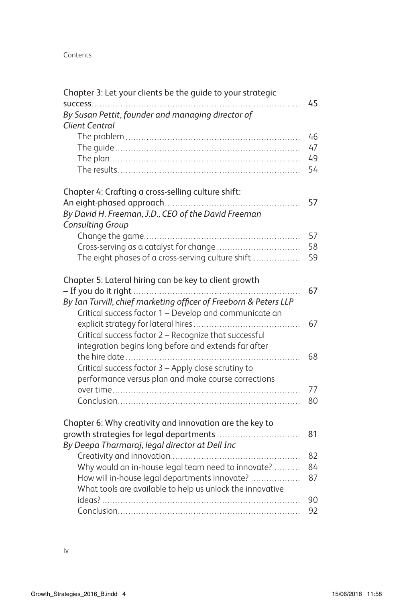### Contents

| Chapter 3: Let your clients be the guide to your strategic<br>success      | 45 |
|----------------------------------------------------------------------------|----|
| By Susan Pettit, founder and managing director of<br><b>Client Central</b> |    |
|                                                                            | 46 |
|                                                                            | 47 |
|                                                                            | 49 |
|                                                                            | 54 |
| Chapter 4: Crafting a cross-selling culture shift:                         |    |
|                                                                            | 57 |
| By David H. Freeman, J.D., CEO of the David Freeman<br>Consulting Group    |    |
|                                                                            | 57 |
|                                                                            | 58 |
| The eight phases of a cross-serving culture shift                          | 59 |
| Chapter 5: Lateral hiring can be key to client growth                      |    |
|                                                                            | 67 |
| By Ian Turvill, chief marketing officer of Freeborn & Peters LLP           |    |
| Critical success factor 1 - Develop and communicate an                     | 67 |
| Critical success factor 2 - Recognize that successful                      |    |
| integration begins long before and extends far after                       |    |
|                                                                            | 68 |
| Critical success factor 3 - Apply close scrutiny to                        |    |
| performance versus plan and make course corrections                        |    |
|                                                                            | 77 |
|                                                                            | 80 |
|                                                                            |    |
| Chapter 6: Why creativity and innovation are the key to                    |    |
| growth strategies for legal departments                                    | 81 |
| By Deepa Tharmaraj, legal director at Dell Inc                             |    |
|                                                                            | 82 |
| Why would an in-house legal team need to innovate?                         | 84 |
| How will in-house legal departments innovate?                              | 87 |
| What tools are available to help us unlock the innovative                  |    |
|                                                                            | 90 |
|                                                                            | 92 |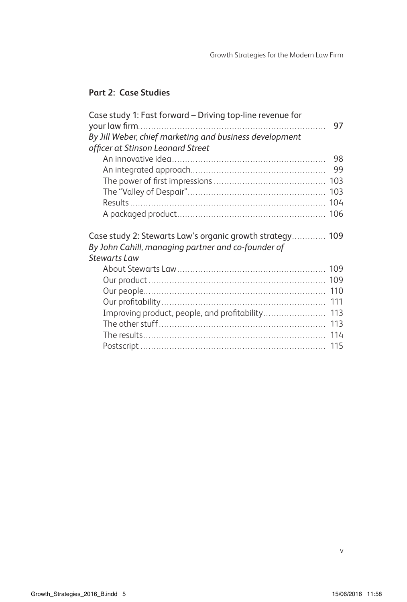### **Part 2: Case Studies**

| Case study 1: Fast forward – Driving top-line revenue for                                                                             | 97  |
|---------------------------------------------------------------------------------------------------------------------------------------|-----|
| By Jill Weber, chief marketing and business development                                                                               |     |
| officer at Stinson Leonard Street                                                                                                     |     |
|                                                                                                                                       | 98  |
|                                                                                                                                       | 99  |
|                                                                                                                                       |     |
|                                                                                                                                       |     |
|                                                                                                                                       | 104 |
|                                                                                                                                       |     |
| Case study 2: Stewarts Law's organic growth strategy 109<br>By John Cahill, managing partner and co-founder of<br><b>Stewarts Law</b> |     |
|                                                                                                                                       |     |
|                                                                                                                                       |     |
|                                                                                                                                       |     |
|                                                                                                                                       |     |
| Improving product, people, and profitability                                                                                          | 111 |
|                                                                                                                                       | 113 |
|                                                                                                                                       |     |
|                                                                                                                                       | 114 |
|                                                                                                                                       |     |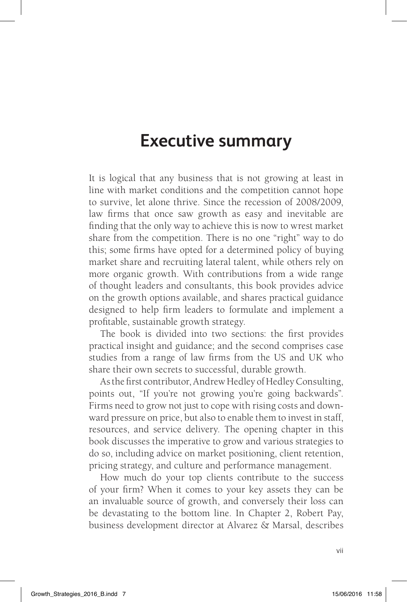## **Executive summary**

It is logical that any business that is not growing at least in line with market conditions and the competition cannot hope to survive, let alone thrive. Since the recession of 2008/2009, law firms that once saw growth as easy and inevitable are finding that the only way to achieve this is now to wrest market share from the competition. There is no one "right" way to do this; some firms have opted for a determined policy of buying market share and recruiting lateral talent, while others rely on more organic growth. With contributions from a wide range of thought leaders and consultants, this book provides advice on the growth options available, and shares practical guidance designed to help firm leaders to formulate and implement a profitable, sustainable growth strategy.

The book is divided into two sections: the first provides practical insight and guidance; and the second comprises case studies from a range of law firms from the US and UK who share their own secrets to successful, durable growth.

As the first contributor, Andrew Hedley of Hedley Consulting, points out, "If you're not growing you're going backwards". Firms need to grow not just to cope with rising costs and downward pressure on price, but also to enable them to invest in staff, resources, and service delivery. The opening chapter in this book discusses the imperative to grow and various strategies to do so, including advice on market positioning, client retention, pricing strategy, and culture and performance management.

How much do your top clients contribute to the success of your firm? When it comes to your key assets they can be an invaluable source of growth, and conversely their loss can be devastating to the bottom line. In Chapter 2, Robert Pay, business development director at Alvarez & Marsal, describes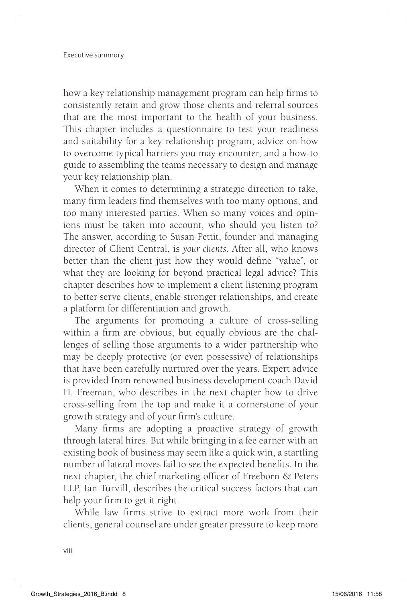how a key relationship management program can help firms to consistently retain and grow those clients and referral sources that are the most important to the health of your business. This chapter includes a questionnaire to test your readiness and suitability for a key relationship program, advice on how to overcome typical barriers you may encounter, and a how-to guide to assembling the teams necessary to design and manage your key relationship plan.

When it comes to determining a strategic direction to take, many firm leaders find themselves with too many options, and too many interested parties. When so many voices and opinions must be taken into account, who should you listen to? The answer, according to Susan Pettit, founder and managing director of Client Central, is *your clients*. After all, who knows better than the client just how they would define "value", or what they are looking for beyond practical legal advice? This chapter describes how to implement a client listening program to better serve clients, enable stronger relationships, and create a platform for differentiation and growth.

The arguments for promoting a culture of cross-selling within a firm are obvious, but equally obvious are the challenges of selling those arguments to a wider partnership who may be deeply protective (or even possessive) of relationships that have been carefully nurtured over the years. Expert advice is provided from renowned business development coach David H. Freeman, who describes in the next chapter how to drive cross-selling from the top and make it a cornerstone of your growth strategy and of your firm's culture.

Many firms are adopting a proactive strategy of growth through lateral hires. But while bringing in a fee earner with an existing book of business may seem like a quick win, a startling number of lateral moves fail to see the expected benefits. In the next chapter, the chief marketing officer of Freeborn & Peters LLP, Ian Turvill, describes the critical success factors that can help your firm to get it right.

While law firms strive to extract more work from their clients, general counsel are under greater pressure to keep more

viii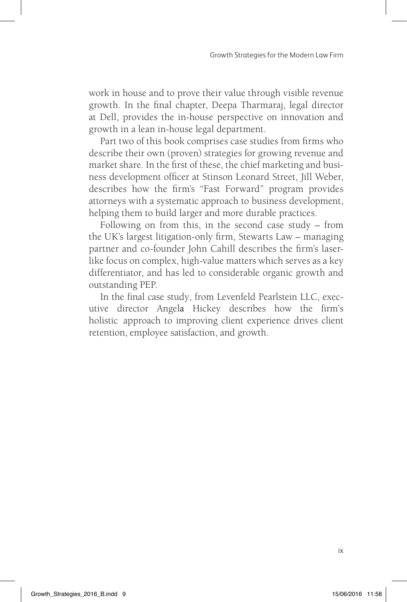work in house and to prove their value through visible revenue growth. In the final chapter, Deepa Tharmaraj, legal director at Dell, provides the in-house perspective on innovation and growth in a lean in-house legal department.

Part two of this book comprises case studies from firms who describe their own (proven) strategies for growing revenue and market share. In the first of these, the chief marketing and business development officer at Stinson Leonard Street, Jill Weber, describes how the firm's "Fast Forward" program provides attorneys with a systematic approach to business development, helping them to build larger and more durable practices.

Following on from this, in the second case study – from the UK's largest litigation-only firm, Stewarts Law – managing partner and co-founder John Cahill describes the firm's laserlike focus on complex, high-value matters which serves as a key differentiator, and has led to considerable organic growth and outstanding PEP.

In the final case study, from Levenfeld Pearlstein LLC, executive director Angela Hickey describes how the firm's holistic approach to improving client experience drives client retention, employee satisfaction, and growth.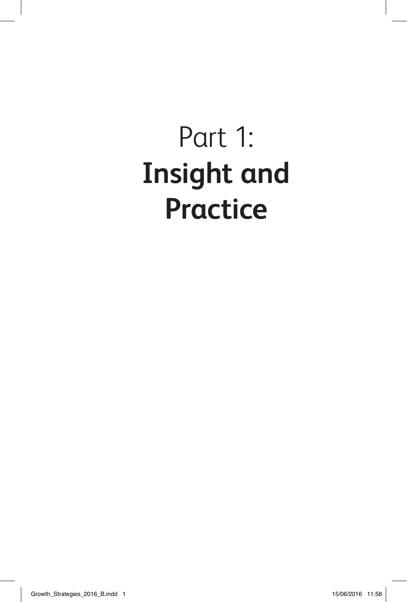# Part 1: **Insight and Practice**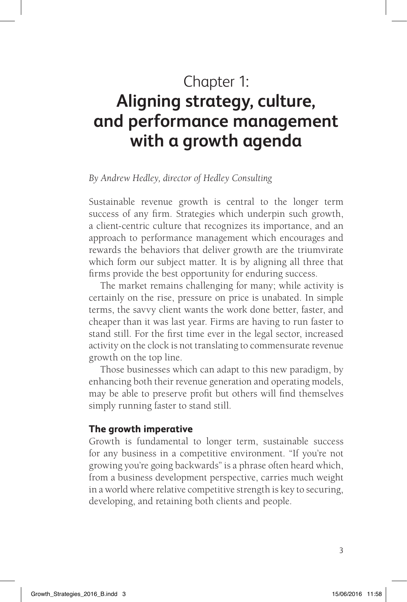## Chapter 1: **Aligning strategy, culture, and performance management with a growth agenda**

### *By Andrew Hedley, director of Hedley Consulting*

Sustainable revenue growth is central to the longer term success of any firm. Strategies which underpin such growth, a client-centric culture that recognizes its importance, and an approach to performance management which encourages and rewards the behaviors that deliver growth are the triumvirate which form our subject matter. It is by aligning all three that firms provide the best opportunity for enduring success.

The market remains challenging for many; while activity is certainly on the rise, pressure on price is unabated. In simple terms, the savvy client wants the work done better, faster, and cheaper than it was last year. Firms are having to run faster to stand still. For the first time ever in the legal sector, increased activity on the clock is not translating to commensurate revenue growth on the top line.

Those businesses which can adapt to this new paradigm, by enhancing both their revenue generation and operating models, may be able to preserve profit but others will find themselves simply running faster to stand still.

### **The growth imperative**

Growth is fundamental to longer term, sustainable success for any business in a competitive environment. "If you're not growing you're going backwards" is a phrase often heard which, from a business development perspective, carries much weight in a world where relative competitive strength is key to securing, developing, and retaining both clients and people.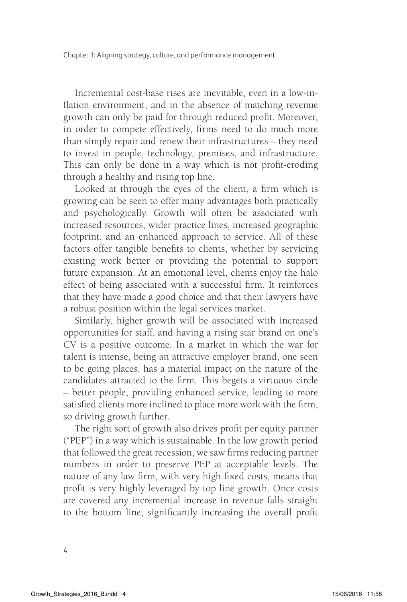Chapter 1: Aligning strategy, culture, and performance management

Incremental cost-base rises are inevitable, even in a low-inflation environment, and in the absence of matching revenue growth can only be paid for through reduced profit. Moreover, in order to compete effectively, firms need to do much more than simply repair and renew their infrastructures – they need to invest in people, technology, premises, and infrastructure. This can only be done in a way which is not profit-eroding through a healthy and rising top line.

Looked at through the eyes of the client, a firm which is growing can be seen to offer many advantages both practically and psychologically. Growth will often be associated with increased resources, wider practice lines, increased geographic footprint, and an enhanced approach to service. All of these factors offer tangible benefits to clients, whether by servicing existing work better or providing the potential to support future expansion. At an emotional level, clients enjoy the halo effect of being associated with a successful firm. It reinforces that they have made a good choice and that their lawyers have a robust position within the legal services market.

Similarly, higher growth will be associated with increased opportunities for staff, and having a rising star brand on one's CV is a positive outcome. In a market in which the war for talent is intense, being an attractive employer brand, one seen to be going places, has a material impact on the nature of the candidates attracted to the firm. This begets a virtuous circle – better people, providing enhanced service, leading to more satisfied clients more inclined to place more work with the firm, so driving growth further.

The right sort of growth also drives profit per equity partner ("PEP") in a way which is sustainable. In the low growth period that followed the great recession, we saw firms reducing partner numbers in order to preserve PEP at acceptable levels. The nature of any law firm, with very high fixed costs, means that profit is very highly leveraged by top line growth. Once costs are covered any incremental increase in revenue falls straight to the bottom line, significantly increasing the overall profit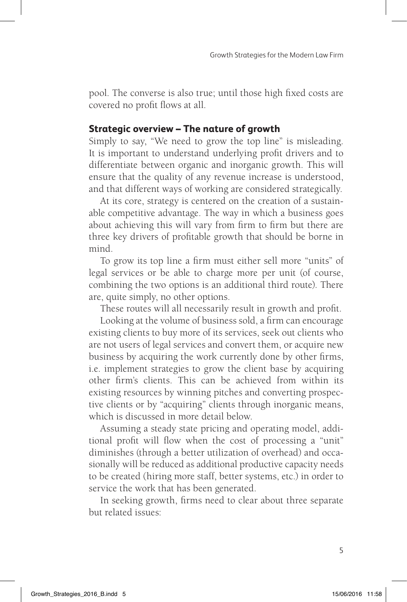pool. The converse is also true; until those high fixed costs are covered no profit flows at all.

### **Strategic overview – The nature of growth**

Simply to say, "We need to grow the top line" is misleading. It is important to understand underlying profit drivers and to differentiate between organic and inorganic growth. This will ensure that the quality of any revenue increase is understood, and that different ways of working are considered strategically.

At its core, strategy is centered on the creation of a sustainable competitive advantage. The way in which a business goes about achieving this will vary from firm to firm but there are three key drivers of profitable growth that should be borne in mind.

To grow its top line a firm must either sell more "units" of legal services or be able to charge more per unit (of course, combining the two options is an additional third route). There are, quite simply, no other options.

These routes will all necessarily result in growth and profit.

Looking at the volume of business sold, a firm can encourage existing clients to buy more of its services, seek out clients who are not users of legal services and convert them, or acquire new business by acquiring the work currently done by other firms, i.e. implement strategies to grow the client base by acquiring other firm's clients. This can be achieved from within its existing resources by winning pitches and converting prospective clients or by "acquiring" clients through inorganic means, which is discussed in more detail below.

Assuming a steady state pricing and operating model, additional profit will flow when the cost of processing a "unit" diminishes (through a better utilization of overhead) and occasionally will be reduced as additional productive capacity needs to be created (hiring more staff, better systems, etc.) in order to service the work that has been generated.

In seeking growth, firms need to clear about three separate but related issues: